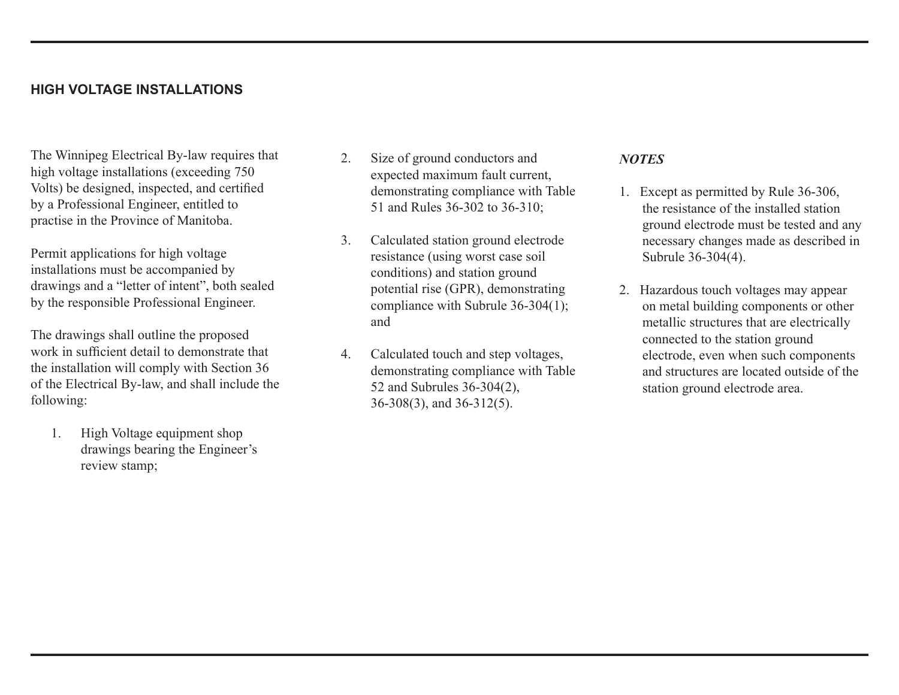## **HIGH VOLTAGE INSTALLATIONS**

The Winnipeg Electrical By-law requires that high voltage installations (exceeding 750 Volts) be designed, inspected, and certified by a Professional Engineer, entitled to practise in the Province of Manitoba.

Permit applications for high voltage installations must be accompanied by drawings and a "letter of intent", both sealed by the responsible Professional Engineer.

The drawings shall outline the proposed work in sufficient detail to demonstrate that the installation will comply with Section 36 of the Electrical By-law, and shall include the following:

1. High Voltage equipment shop drawings bearing the Engineer's review stamp;

- 2. Size of ground conductors and expected maximum fault current, demonstrating compliance with Table 51 and Rules 36-302 to 36-310;
- 3. Calculated station ground electrode resistance (using worst case soil conditions) and station ground potential rise (GPR), demonstrating compliance with Subrule 36-304(1); and
- 4. Calculated touch and step voltages, demonstrating compliance with Table 52 and Subrules 36-304(2), 36-308(3), and 36-312(5).

### *NOTES*

- 1. Except as permitted by Rule 36-306, the resistance of the installed station ground electrode must be tested and any necessary changes made as described in Subrule 36-304(4).
- 2. Hazardous touch voltages may appear on metal building components or other metallic structures that are electrically connected to the station ground electrode, even when such components and structures are located outside of the station ground electrode area.